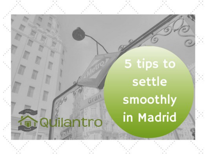# 5 tips to settle smoothly in Madrid

lilantro  $\Box$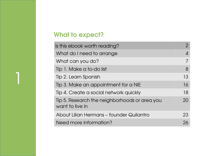# What to expect?

| Is this ebook worth reading?                                     |                            |
|------------------------------------------------------------------|----------------------------|
| What do I need to arrange                                        | $\boldsymbol{\mathcal{A}}$ |
| What can you do?                                                 | 7                          |
| Tip 1. Make a to-do list                                         | 8                          |
| Tip 2. Learn Spanish                                             | 13                         |
| Tip 3. Make an appointment for a NIE                             | 16                         |
| Tip 4. Create a social network quickly                           | 18                         |
| Tip 5. Research the neighborhoods or area you<br>want to live in | 20                         |
| About Lilian Hermans - founder Quilantro                         | 23                         |
| Need more information?                                           | 26                         |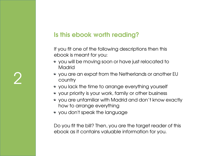# Is this ebook worth reading?

If you fit one of the following descriptions then this ebook is meant for you:

- you will be moving soon or have just relocated to Madrid
- you are an expat from the Netherlands or another EU country
- you lack the time to arrange everything yourself
- your priority is your work, family or other business
- you are unfamiliar with Madrid and don't know exactly how to arrange everything
- you don't speak the language

Do you fit the bill? Then, you are the target reader of this ebook as it contains valuable information for you.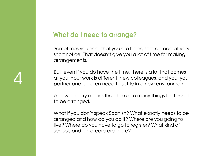## What do I need to arrange?

Sometimes you hear that you are being sent abroad at very short notice. That doesn't give you a lot of time for making arrangements.

But, even if you do have the time, there is a lot that comes at you. Your work is different, new colleagues, and you, your partner and children need to settle in a new environment.

A new country means that there are many things that need to be arranged.

What if you don't speak Spanish? What exactly needs to be arranged and how do you do it? Where are you going to live? Where do you have to go to register? What kind of schools and child-care are there?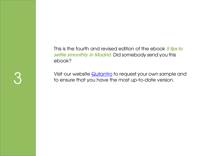This is the fourth and revised edition of the ebook 5 tips to settle smoothly in Madrid. Did somebody send you this ebook?

Visit our website **Quilantro** to request your own sample and to ensure that you have the most up-to-date version.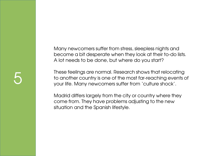Many newcomers suffer from stress, sleepless nights and become a bit desperate when they look at their to-do lists. A lot needs to be done, but where do you start?

These feelings are normal. Research shows that relocating to another country is one of the most far-reaching events of your life. Many newcomers suffer from 'culture shock'.

Madrid differs largely from the city or country where they come from. They have problems adjusting to the new situation and the Spanish lifestyle.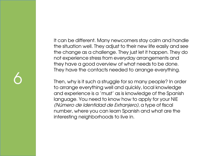It can be different. Many newcomers stay calm and handle the situation well. They adjust to their new life easily and see the change as a challenge. They just let it happen. They do not experience stress from everyday arrangements and they have a good overview of what needs to be done. They have the contacts needed to arrange everything.

Then, why is it such a struggle for so many people? In order to arrange everything well and quickly, local knowledge and experience is a 'must' as is knowledge of the Spanish language. You need to know how to apply for your NIE (Número de Identidad de Extranjero), a type of fiscal number, where you can learn Spanish and what are the interesting neighborhoods to live in.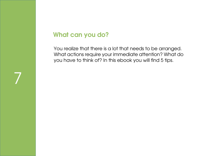#### What can you do?

7

You realize that there is a lot that needs to be arranged. What actions require your immediate attention? What do you have to think of? In this ebook you will find 5 tips.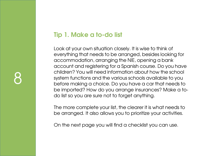# Tip 1. Make a to-do list

Look at your own situation closely. It is wise to think of everything that needs to be arranged, besides looking for accommodation, arranging the NIE, opening a bank account and registering for a Spanish course. Do you have children? You will need information about how the school system functions and the various schools available to you before making a choice. Do you have a car that needs to be imported? How do you arrange insurances? Make a todo list so you are sure not to forget anything.

The more complete your list, the clearer it is what needs to be arranged. It also allows you to prioritize your activities.

On the next page you will find a checklist you can use.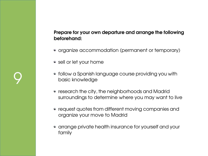#### Prepare for your own departure and arrange the following beforehand:

- organize accommodation (permanent or temporary)
- sell or let your home
- follow a Spanish language course providing you with basic knowledge
- research the city, the neighborhoods and Madrid surroundings to determine where you may want to live
- request quotes from different moving companies and organize your move to Madrid
- arrange private health insurance for yourself and your family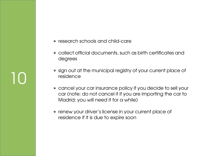- research schools and child-care
- collect official documents, such as birth certificates and degrees
- sign out at the municipal registry of your current place of residence
- cancel your car insurance policy if you decide to sell your car (note: do not cancel it if you are importing the car to Madrid; you will need it for a while)
- renew your driver's license in your current place of residence if it is due to expire soon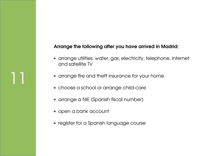#### Arrange the following after you have arrived in Madrid:

- arrange utilities: water, gas, electricity, telephone, internet and satellite TV
- arrange fire and theft insurance for your home
- choose a school or arrange child-care
- arrange a NIE (Spanish fiscal number)
- open a bank account

11

• register for a Spanish language course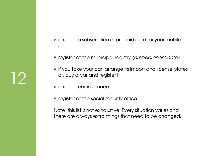• arrange a subscription or prepaid card for your mobile phone

- register at the municipal registry (empadronamiento)
- if you take your car: arrange its import and license plates or, buy a car and register it
- arrange car insurance
- register at the social security office

Note, this list is not exhaustive. Every situation varies and there are always extra things that need to be arranged.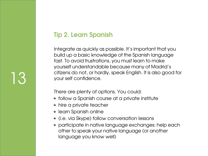# Tip 2. Learn Spanish

Integrate as quickly as possible. It's important that you build up a basic knowledge of the Spanish language fast. To avoid frustrations, you must learn to make yourself understandable because many of Madrid's citizens do not, or hardly, speak English. It is also good for your self confidence.

There are plenty of options. You could:

- follow a Spanish course at a private institute
- hire a private teacher
- learn Spanish online

- (i.e. via Skype) follow conversation lessons
- participate in native language exchanges: help each other to speak your native language (or another language you know well)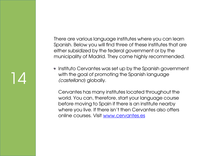There are various language institutes where you can learn Spanish. Below you will find three of these institutes that are either subsidized by the federal government or by the municipality of Madrid. They come highly recommended.

• Instituto Cervantes was set up by the Spanish government with the goal of promoting the Spanish language (castellano) globally.

14

Cervantes has many institutes located throughout the world. You can, therefore, start your language course before moving to Spain if there is an institute nearby where you live. If there isn't then Cervantes also offers online courses. Visit [www.cervantes.es](http://www.cervantes.es/)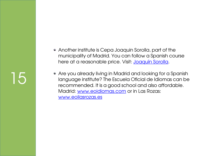- Another institute is Cepa Joaquin Sorolla, part of the municipality of Madrid. You can follow a Spanish course here at a reasonable price. Visit: [Joaquín Sorolla.](http://www.educa.madrid.org/web/cepa.joaquinsorolla.madrid/oferta/espanol.html)
- Are you already living in Madrid and looking for a Spanish language institute? The Escuela Oficial de Idiomas can be recommended. It is a good school and also affordable. Madrid: [www.eoidiomas.com](http://www.eoidiomas.com/) or in Las Rozas: [www.eoilasrozas.es](http://www.eoilasrozas.es/)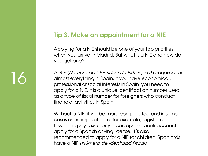## Tip 3. Make an appointment for a NIE

Applying for a NIE should be one of your top priorities when you arrive in Madrid. But what is a NIE and how do you get one?

A NIE (Número de Identidad de Extranjero) is required for almost everything in Spain. If you have economical, professional or social interests in Spain, you need to apply for a NIE. It is a unique identification number used as a type of fiscal number for foreigners who conduct financial activities in Spain.

Without a NIE, it will be more complicated and in some cases even impossible to, for example, register at the town hall, pay taxes, buy a car, open a bank account or apply for a Spanish driving license. It´s also recommended to apply for a NIE for children. Spaniards have a NIF (Número de Identidad Fiscal).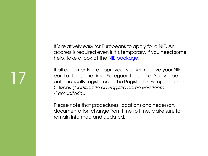It´s relatively easy for Europeans to apply for a NIE. An address is required even if it´s temporary. If you need some help, take a look at the [NIE package.](http://quilantro.com/relocation/packages/nie-package)

If all documents are approved, you will receive your NIEcard at the same time. Safeguard this card. You will be automatically registered in the Register for European Union Citizens (Certificado de Registro como Residente Comunitario).

17

Please note that procedures, locations and necessary documentation change from time to time. Make sure to remain informed and updated.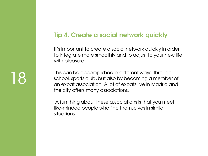## Tip 4. Create a social network quickly

It's important to create a social network quickly in order to integrate more smoothly and to adjust to your new life with pleasure.

This can be accomplished in different ways: through school, sports club, but also by becoming a member of an expat association. A lot of expats live in Madrid and the city offers many associations.

A fun thing about these associations is that you meet like-minded people who find themselves in similar situations.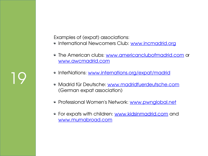Examples of (expat) associations:

- International Newcomers Club: [www.incmadrid.org](http://www.incmadrid.org/)
- The American clubs: [www.americanclubofmadrid.com](http://www.americanclubofmadrid.com/) or [www.awcmadrid.com](http://www.awcmadrid.com/)
- InterNations: [www.internations.org/expat/madrid](http://www.internations.org/expat/madrid)
- Madrid für Deutsche: [www.madridfuerdeutsche.com](http://www.madridfuerdeutsche.com/) (German expat association)
- Professional Women's Network: [www.pwnglobal.net](http://www.pwnglobal.net/)
- For expats with children: [www.kidsinmadrid.com](http://www.kidsinmadrid.com/) and [www.mumabroad.com](http://www.mumabroad.com/)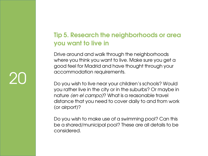# Tip 5. Research the neighborhoods or area you want to live in

Drive around and walk through the neighborhoods where you think you want to live. Make sure you get a good feel for Madrid and have thought through your accommodation requirements.

Do you wish to live near your children's schools? Would you rather live in the city or in the suburbs? Or maybe in nature (en el campo)? What is a reasonable travel distance that you need to cover daily to and from work (or airport)?

Do you wish to make use of a swimming pool? Can this be a shared/municipal pool? These are all details to be considered.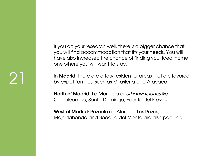If you do your research well, there is a bigger chance that you will find accommodation that fits your needs. You will have also increased the chance of finding your ideal home, one where you will want to stay.

In **Madrid**, there are a few residential areas that are favored by expat families, such as Mirasierra and Aravaca.

North of Madrid: La Moraleja or *urbanizaciones* like Ciudalcampo, Santo Domingo, Fuente del Fresno.

West of Madrid: Pozuelo de Alarcón. Las Rozas, Majadahonda and Boadilla del Monte are also popular.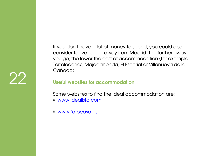22

If you don't have a lot of money to spend, you could also consider to live further away from Madrid. The further away you go, the lower the cost of accommodation (for example Torrelodones, Majadahonda, El Escorial or Villanueva de la Cañada).

#### Useful websites for accommodation

Some websites to find the ideal accommodation are:

- [www.idealista.com](http://www.idealista.com/)
- [www.fotocasa.es](http://www.fotocasa.es/)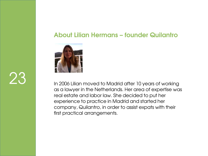## About Lilian Hermans – founder Quilantro



23

In 2006 Lilian moved to Madrid after 10 years of working as a lawyer in the Netherlands. Her area of expertise was real estate and labor law. She decided to put her experience to practice in Madrid and started her company, Quilantro, in order to assist expats with their first practical arrangements.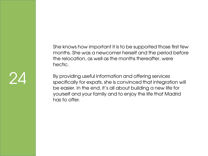She knows how important it is to be supported those first few months. She was a newcomer herself and the period before the relocation, as well as the months thereafter, were hectic.

By providing useful information and offering services specifically for expats, she is convinced that integration will be easier. In the end, it's all about building a new life for yourself and your family and to enjoy the life that Madrid has to offer.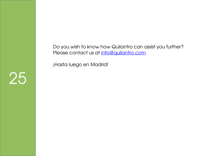Do you wish to know how Quilantro can assist you further? Please contact us at [info@quilantro.com](mailto:info@quilantro.com)

¡Hasta luego en Madrid!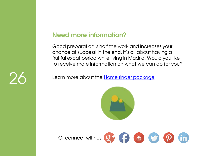### Need more information?

Good preparation is half the work and increases your chance at success! In the end, it's all about having a fruitful expat period while living in Madrid. Would you like to receive more information on what we can do for you?

**Learn more about the [Home finder package](http://www.quilantro.com/relocation/packages/home-finder)**